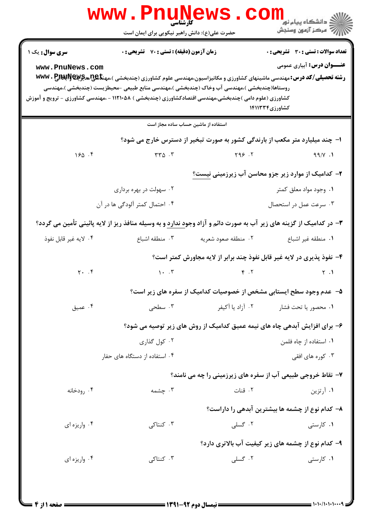|                                                                                                       | <b>WWW.PNU</b><br><b>کارشناسی</b>                                                                                                              |                                                                             | د دانشگاه پيام نو <mark>ر</mark><br>ے<br>اسکر آزمون وسنجش                                                                                                                                                       |
|-------------------------------------------------------------------------------------------------------|------------------------------------------------------------------------------------------------------------------------------------------------|-----------------------------------------------------------------------------|-----------------------------------------------------------------------------------------------------------------------------------------------------------------------------------------------------------------|
|                                                                                                       | حضرت علی(ع): دانش راهبر نیکویی برای ایمان است                                                                                                  |                                                                             |                                                                                                                                                                                                                 |
| <b>سری سوال :</b> یک ۱<br>www.PnuNews.com                                                             | <b>زمان آزمون (دقیقه) : تستی : 70 گشریحی : 0</b><br>روستاها(چندبخشی )،مهندسی آب وخاک (چندبخشی )،مهندسی منابع طبیعی -محیطزیست (چندبخشی )،مهندسی |                                                                             | <b>تعداد سوالات : تستي : 30 ٪ تشريحي : 0</b><br><b>عنـــوان درس:</b> آبیاری عمومی<br><b>رشته تحصیلی/کد درس: م</b> هندسی ماشینهای کشاورزی و مکانیزاسیون،مهندسی علوم کشاورزی (چندبخشی )،مهنگهی بهگی بهکاپی با www |
| کشاورزی (علوم دامی )چندبخشی،مهندسی اقتصادکشاورزی (چندبخشی ) ۱۱۲۱۰۵۸ - ،مهندسی کشاورزی - ترویج و آموزش |                                                                                                                                                |                                                                             | کشاورزی۱۴۱۱۳۳۴                                                                                                                                                                                                  |
|                                                                                                       |                                                                                                                                                | استفاده از ماشین حساب ساده مجاز است                                         |                                                                                                                                                                                                                 |
|                                                                                                       |                                                                                                                                                | ا- چند میلیارد متر مکعب از بارندگی کشور به صورت تبخیر از دسترس خارج می شود؟ |                                                                                                                                                                                                                 |
| 150.5                                                                                                 | $rr\Delta$ . $\Gamma$                                                                                                                          | Y99.7                                                                       | 99/Y.1                                                                                                                                                                                                          |
|                                                                                                       |                                                                                                                                                |                                                                             | ۲– کدامیک از موارد زیر جزو محاسن آب زیرزمینی نیست؟                                                                                                                                                              |
|                                                                                                       | ۰۲ سهولت در بهره برداری                                                                                                                        |                                                                             | ۰۱ وجود مواد معلق کمتر                                                                                                                                                                                          |
|                                                                                                       | ۰۴ احتمال کمتر آلودگی ها در آن                                                                                                                 |                                                                             | ۰۳ سرعت عمل در استحصال                                                                                                                                                                                          |
|                                                                                                       | ۳- در کدامیک از گزینه های زیر آب به صورت دائم و آزاد وجود ندارد و به وسیله منافذ ریز از لایه پائینی تأمین می گردد؟                             |                                                                             |                                                                                                                                                                                                                 |
| ۰۴ لايه غير قابل نفوذ                                                                                 | ۰۳ منطقه اشباع                                                                                                                                 | ۰۲ منطقه صعود شعريه                                                         | ٠١. منطقه غير اشباع                                                                                                                                                                                             |
|                                                                                                       |                                                                                                                                                |                                                                             | ۴- نفوذ پذیری در لایه غیر قابل نفوذ چند برابر از لایه مجاورش کمتر است؟                                                                                                                                          |
| $Y \cdot \cdot f$                                                                                     | $\mathcal{N}$ . $\mathcal{N}$                                                                                                                  | $\mathcal{F}$ . $\mathcal{F}$                                               | $\uparrow$ .1                                                                                                                                                                                                   |
|                                                                                                       |                                                                                                                                                |                                                                             | ۵– عدم وجود سطح ایستابی مشخص از خصوصیات کدامیک از سفره های زیر است؟                                                                                                                                             |
| ۰۴ عميق                                                                                               | ۰۳ سطحی                                                                                                                                        | ۰۲ آزاد یا آکیفر                                                            | ۰۱ محصور یا تحت فشار                                                                                                                                                                                            |
|                                                                                                       |                                                                                                                                                |                                                                             | ۶– برای افزایش آبدهی چاه های نیمه عمیق کدامیک از روش های زیر توصیه می شود؟                                                                                                                                      |
|                                                                                                       | ۰۲ کول گذاری                                                                                                                                   |                                                                             | ۰۱ استفاده از چاه فلمن                                                                                                                                                                                          |
|                                                                                                       | ۰۴ استفاده از دستگاه های حفار                                                                                                                  |                                                                             | ۰۳ کوره های افقی                                                                                                                                                                                                |
|                                                                                                       |                                                                                                                                                |                                                                             | ۷- نقاط خروجی طبیعی آب از سفره های زیرزمینی را چه می نامند؟                                                                                                                                                     |
| ۰۴ رودخانه                                                                                            | ۰۳ چشمه                                                                                                                                        | ۰۲ قنات                                                                     | ۰۱ آرتزین                                                                                                                                                                                                       |
|                                                                                                       |                                                                                                                                                |                                                                             | ۸– کدام نوع از چشمه ها بیشترین آبدهی را داراست؟                                                                                                                                                                 |
| ۰۴ واريزه اي                                                                                          | ۰۳ کنتاکی                                                                                                                                      | ۰۲ گسلی                                                                     | ۰۱ کارستی                                                                                                                                                                                                       |
|                                                                                                       |                                                                                                                                                |                                                                             | ۹- کدام نوع از چشمه های زیر کیفیت آب بالاتری دارد؟                                                                                                                                                              |
| ۰۴ واريزه اي                                                                                          | ۰۳ کنتاکی                                                                                                                                      | ۰۲ گسلی                                                                     | ۰۱ کارستی                                                                                                                                                                                                       |
|                                                                                                       |                                                                                                                                                |                                                                             |                                                                                                                                                                                                                 |
|                                                                                                       |                                                                                                                                                |                                                                             |                                                                                                                                                                                                                 |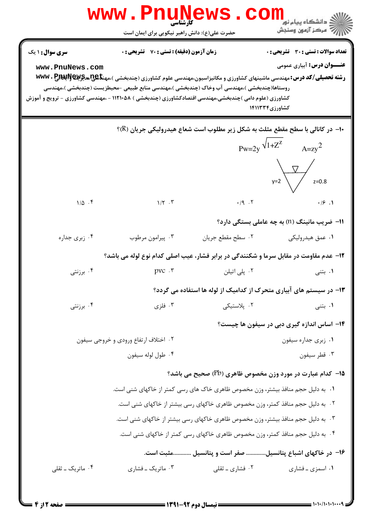| <b>سری سوال : ۱ یک</b><br>www.PnuNews.com<br>روستاها(چندبخشی )،مهندسی آب وخاک (چندبخشی )،مهندسی منابع طبیعی –محیطزیست (چندبخشی )،مهندسی  | <b>زمان آزمون (دقیقه) : تستی : 70 قشریحی : 0</b> |                                                                                                       | تعداد سوالات : تستي : 30 ٪ تشريحي : 0                                                                                                                                  |  |
|------------------------------------------------------------------------------------------------------------------------------------------|--------------------------------------------------|-------------------------------------------------------------------------------------------------------|------------------------------------------------------------------------------------------------------------------------------------------------------------------------|--|
|                                                                                                                                          |                                                  |                                                                                                       |                                                                                                                                                                        |  |
|                                                                                                                                          |                                                  |                                                                                                       | <b>عنـــوان درس:</b> آبیاری عمومی<br><b>رشته تحصیلی/کد درس:</b> مهندسی ماشینهای کشاورزی و مکانیزاسیون،مهندسی علوم کشاورزی (چندبخشی )،مهن <del>تا @U</del> NG و WWV . P |  |
|                                                                                                                                          |                                                  | کشاورزی (علوم دامی )چندبخشی،مهندسی اقتصادکشاورزی (چندبخشی ) ۱۱۲۱۰۵۸ - ،مهندسی کشاورزی - ترویج و آموزش | کشاورزی۱۴۱۱۳۳۴                                                                                                                                                         |  |
|                                                                                                                                          |                                                  |                                                                                                       | ∙۱- در کانالی با سطح مقطع مثلث به شکل زیر مطلوب است شعاع هیدرولیکی جریان (R)؟                                                                                          |  |
|                                                                                                                                          |                                                  |                                                                                                       | $Pw=2y \sqrt{1+Z^2}$ $A=zy^2$                                                                                                                                          |  |
|                                                                                                                                          |                                                  |                                                                                                       |                                                                                                                                                                        |  |
|                                                                                                                                          |                                                  |                                                                                                       | $y=2$ $y=0.8$                                                                                                                                                          |  |
| $1/\Delta$ .                                                                                                                             | $1/\Upsilon$ . $\Upsilon$                        | $\cdot$ /9 $\cdot$ $\cdot$ $\cdot$                                                                    | .19.1                                                                                                                                                                  |  |
|                                                                                                                                          |                                                  |                                                                                                       | 11- ضریب مانینگ (n) به چه عاملی بستگی دارد؟                                                                                                                            |  |
| ۰۴ زبری جداره                                                                                                                            | ۰۳ پیرامون مرطوب                                 | ٠٢ سطح مقطع جريان                                                                                     | ۰۱ عمق هیدرولیکی                                                                                                                                                       |  |
|                                                                                                                                          |                                                  |                                                                                                       | ۱۲- عدم مقاومت در مقابل سرما و شکنندگی در برابر فشار، عیب اصلی کدام نوع لوله می باشد؟                                                                                  |  |
| برزنتى $\cdot$ ۴ .                                                                                                                       | $pvc \cdot r$                                    | ۰۲ پلی اتیلن                                                                                          | ۰۱ بتنی                                                                                                                                                                |  |
|                                                                                                                                          |                                                  |                                                                                                       | ۱۳- در سیستم های آبیاری متحرک از کدامیک از لوله ها استفاده می گردد؟                                                                                                    |  |
| ۰۴ برزنتی                                                                                                                                | ۰۳ فلزی                                          | ۰۲ پلاستیکی                                                                                           | ۰۱ بتنی                                                                                                                                                                |  |
|                                                                                                                                          |                                                  |                                                                                                       | ۱۴- اساس اندازه گیری دبی در سیفون ها چیست؟                                                                                                                             |  |
|                                                                                                                                          | ۰۲ اختلاف ارتفاع ورودي و خروجي سيفون             |                                                                                                       | ۰۱ زبری جداره سیفون                                                                                                                                                    |  |
|                                                                                                                                          | ۰۴ طول لوله سيفون                                |                                                                                                       | ۰۳ قطر سيفون                                                                                                                                                           |  |
|                                                                                                                                          |                                                  |                                                                                                       | <b>۱۵</b> - کدام عبارت در مورد وزن مخصوص ظاهری (Pb) صحیح می باشد؟                                                                                                      |  |
|                                                                                                                                          |                                                  | ۰۱ به دلیل حجم منافذ بیشتر، وزن مخصوص ظاهری خاک های رسی کمتر از خاکهای شنی است.                       |                                                                                                                                                                        |  |
|                                                                                                                                          |                                                  | ۰۲ به دلیل حجم منافذ کمتر، وزن مخصوص ظاهری خاکهای رسی بیشتر از خاکهای شنی است.                        |                                                                                                                                                                        |  |
|                                                                                                                                          |                                                  | ۰۳ به دلیل حجم منافذ بیشتر، وزن مخصوص ظاهری خاکهای رسی بیشتر از خاکهای شنی است.                       |                                                                                                                                                                        |  |
| ۰۴ به دلیل حجم منافذ کمتر، وزن مخصوص ظاهری خاکهای رسی کمتر از خاکهای شنی است.<br>۱۶– در خاکهای اشباع پتانسیل صفر است و پتانسیل مثبت است. |                                                  |                                                                                                       |                                                                                                                                                                        |  |
|                                                                                                                                          |                                                  |                                                                                                       |                                                                                                                                                                        |  |
| ۰۴ ماتریک ــ ثقلی                                                                                                                        | ۰۳ ماتریک ـ فشاری                                | ۰۲ فشاری ــ ثقلی                                                                                      | ۰۱ اسمزی ـ فشاری                                                                                                                                                       |  |

 $= 1.1.11.1.1$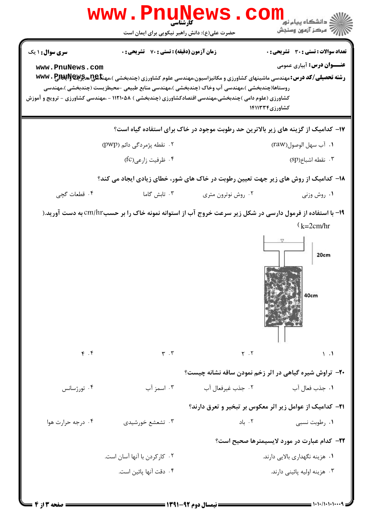